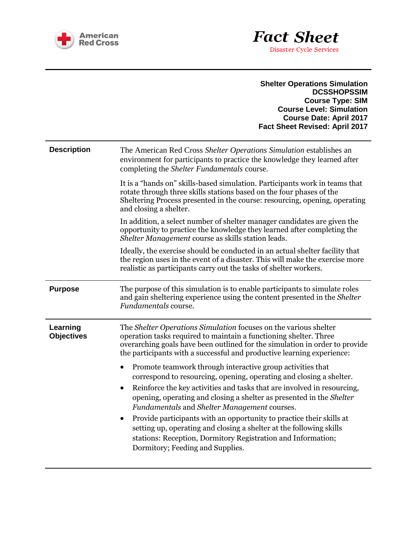

|                               | <b>Shelter Operations Simulation</b><br><b>DCSSHOPSSIM</b><br><b>Course Type: SIM</b><br><b>Course Level: Simulation</b><br><b>Course Date: April 2017</b><br><b>Fact Sheet Revised: April 2017</b>                                                                                                                                  |
|-------------------------------|--------------------------------------------------------------------------------------------------------------------------------------------------------------------------------------------------------------------------------------------------------------------------------------------------------------------------------------|
| <b>Description</b>            | The American Red Cross Shelter Operations Simulation establishes an<br>environment for participants to practice the knowledge they learned after<br>completing the <i>Shelter Fundamentals</i> course.                                                                                                                               |
|                               | It is a "hands on" skills-based simulation. Participants work in teams that<br>rotate through three skills stations based on the four phases of the<br>Sheltering Process presented in the course: resourcing, opening, operating<br>and closing a shelter.                                                                          |
|                               | In addition, a select number of shelter manager candidates are given the<br>opportunity to practice the knowledge they learned after completing the<br>Shelter Management course as skills station leads.                                                                                                                            |
|                               | Ideally, the exercise should be conducted in an actual shelter facility that<br>the region uses in the event of a disaster. This will make the exercise more<br>realistic as participants carry out the tasks of shelter workers.                                                                                                    |
| <b>Purpose</b>                | The purpose of this simulation is to enable participants to simulate roles<br>and gain sheltering experience using the content presented in the Shelter<br>Fundamentals course.                                                                                                                                                      |
| Learning<br><b>Objectives</b> | The Shelter Operations Simulation focuses on the various shelter<br>operation tasks required to maintain a functioning shelter. Three<br>overarching goals have been outlined for the simulation in order to provide<br>the participants with a successful and productive learning experience:                                       |
|                               | Promote teamwork through interactive group activities that<br>correspond to resourcing, opening, operating and closing a shelter.<br>Reinforce the key activities and tasks that are involved in resourcing,<br>opening, operating and closing a shelter as presented in the Shelter<br>Fundamentals and Shelter Management courses. |
|                               | Provide participants with an opportunity to practice their skills at<br>٠<br>setting up, operating and closing a shelter at the following skills<br>stations: Reception, Dormitory Registration and Information;<br>Dormitory; Feeding and Supplies.                                                                                 |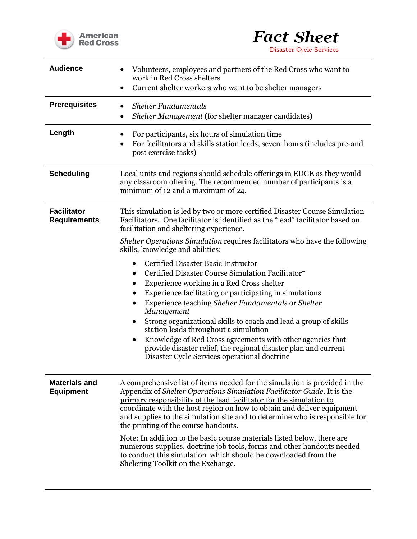



Disaster Cycle Services

| <b>Audience</b>                           | Volunteers, employees and partners of the Red Cross who want to<br>work in Red Cross shelters<br>Current shelter workers who want to be shelter managers                                                                                                                                                                                                                                                                                                                                                                                                                                                                                                                                   |
|-------------------------------------------|--------------------------------------------------------------------------------------------------------------------------------------------------------------------------------------------------------------------------------------------------------------------------------------------------------------------------------------------------------------------------------------------------------------------------------------------------------------------------------------------------------------------------------------------------------------------------------------------------------------------------------------------------------------------------------------------|
| <b>Prerequisites</b>                      | <b>Shelter Fundamentals</b><br>Shelter Management (for shelter manager candidates)<br>$\bullet$                                                                                                                                                                                                                                                                                                                                                                                                                                                                                                                                                                                            |
| Length                                    | For participants, six hours of simulation time<br>٠<br>For facilitators and skills station leads, seven hours (includes pre-and<br>post exercise tasks)                                                                                                                                                                                                                                                                                                                                                                                                                                                                                                                                    |
| <b>Scheduling</b>                         | Local units and regions should schedule offerings in EDGE as they would<br>any classroom offering. The recommended number of participants is a<br>minimum of 12 and a maximum of 24.                                                                                                                                                                                                                                                                                                                                                                                                                                                                                                       |
| <b>Facilitator</b><br><b>Requirements</b> | This simulation is led by two or more certified Disaster Course Simulation<br>Facilitators. One facilitator is identified as the "lead" facilitator based on<br>facilitation and sheltering experience.                                                                                                                                                                                                                                                                                                                                                                                                                                                                                    |
|                                           | <i>Shelter Operations Simulation requires facilitators who have the following</i><br>skills, knowledge and abilities:                                                                                                                                                                                                                                                                                                                                                                                                                                                                                                                                                                      |
|                                           | <b>Certified Disaster Basic Instructor</b><br>٠<br>Certified Disaster Course Simulation Facilitator*<br>Experience working in a Red Cross shelter<br>٠<br>Experience facilitating or participating in simulations<br>Experience teaching Shelter Fundamentals or Shelter<br>٠<br>Management<br>Strong organizational skills to coach and lead a group of skills<br>station leads throughout a simulation<br>Knowledge of Red Cross agreements with other agencies that<br>$\bullet$<br>provide disaster relief, the regional disaster plan and current<br>Disaster Cycle Services operational doctrine                                                                                     |
| <b>Materials and</b><br><b>Equipment</b>  | A comprehensive list of items needed for the simulation is provided in the<br>Appendix of Shelter Operations Simulation Facilitator Guide. It is the<br>primary responsibility of the lead facilitator for the simulation to<br>coordinate with the host region on how to obtain and deliver equipment<br>and supplies to the simulation site and to determine who is responsible for<br>the printing of the course handouts.<br>Note: In addition to the basic course materials listed below, there are<br>numerous supplies, doctrine job tools, forms and other handouts needed<br>to conduct this simulation which should be downloaded from the<br>Shelering Toolkit on the Exchange. |